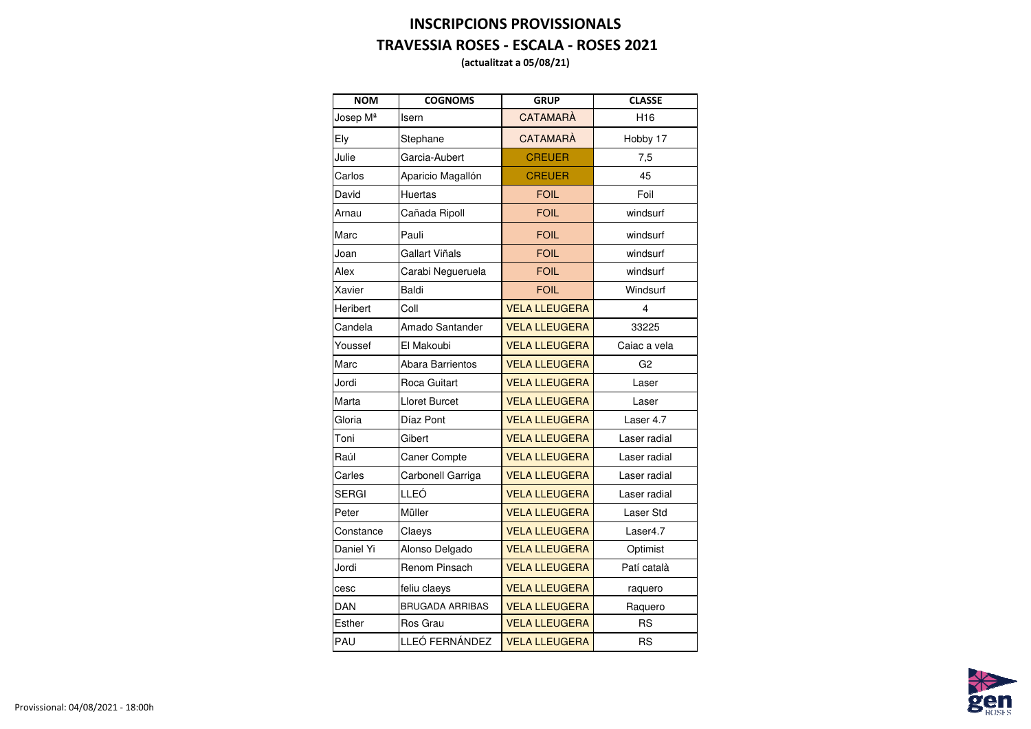## **INSCRIPCIONS PROVISSIONALS TRAVESSIA ROSES - ESCALA - ROSES 2021**

**(actualitzat a 05/08/21)**

| <b>NOM</b>      | <b>COGNOMS</b>          | <b>GRUP</b>          | <b>CLASSE</b>    |
|-----------------|-------------------------|----------------------|------------------|
| Josep Mª        | <b>Isern</b>            | <b>CATAMARA</b>      | H <sub>16</sub>  |
| <b>Ely</b>      | Stephane                | <b>CATAMARA</b>      | Hobby 17         |
| Julie           | Garcia-Aubert           | <b>CREUER</b>        | 7,5              |
| Carlos          | Aparicio Magallón       | <b>CREUER</b>        | 45               |
| David           | <b>Huertas</b>          | <b>FOIL</b>          | Foil             |
| Arnau           | Cañada Ripoll           | <b>FOIL</b>          | windsurf         |
| <b>Marc</b>     | Pauli                   | <b>FOIL</b>          | windsurf         |
| Joan            | <b>Gallart Viñals</b>   | <b>FOIL</b>          | windsurf         |
| <b>Alex</b>     | Carabi Negueruela       | <b>FOIL</b>          | windsurf         |
| Xavier          | <b>Baldi</b>            | <b>FOIL</b>          | Windsurf         |
| <b>Heribert</b> | Coll                    | <b>VELA LLEUGERA</b> | 4                |
| Candela         | <b>Amado Santander</b>  | <b>VELA LLEUGERA</b> | 33225            |
| Youssef         | El Makoubi              | <b>VELA LLEUGERA</b> | Caiac a vela     |
| <b>Marc</b>     | <b>Abara Barrientos</b> | <b>VELA LLEUGERA</b> | G <sub>2</sub>   |
| Jordi           | <b>Roca Guitart</b>     | <b>VELA LLEUGERA</b> | Laser            |
| <b>Marta</b>    | <b>Lloret Burcet</b>    | <b>VELA LLEUGERA</b> | Laser            |
| Gloria          | Díaz Pont               | <b>VELA LLEUGERA</b> | Laser 4.7        |
| Toni            | Gibert                  | <b>VELA LLEUGERA</b> | Laser radial     |
| Raúl            | <b>Caner Compte</b>     | <b>VELA LLEUGERA</b> | Laser radial     |
| Carles          | Carbonell Garriga       | <b>VELA LLEUGERA</b> | Laser radial     |
| <b>SERGI</b>    | <b>LLEÓ</b>             | <b>VELA LLEUGERA</b> | Laser radial     |
| Peter           | Müller                  | <b>VELA LLEUGERA</b> | <b>Laser Std</b> |
| Constance       | Claeys                  | <b>VELA LLEUGERA</b> | Laser4.7         |
| Daniel Yi       | Alonso Delgado          | <b>VELA LLEUGERA</b> | Optimist         |
| Jordi           | <b>Renom Pinsach</b>    | <b>VELA LLEUGERA</b> | Patí català      |
| cesc            | feliu claeys            | <b>VELA LLEUGERA</b> | raquero          |
| <b>DAN</b>      | <b>BRUGADA ARRIBAS</b>  | <b>VELA LLEUGERA</b> | Raquero          |
| <b>Esther</b>   | <b>Ros Grau</b>         | <b>VELA LLEUGERA</b> | <b>RS</b>        |
| <b>PAU</b>      | LLEÓ FERNÁNDEZ          | <b>VELA LLEUGERA</b> | <b>RS</b>        |

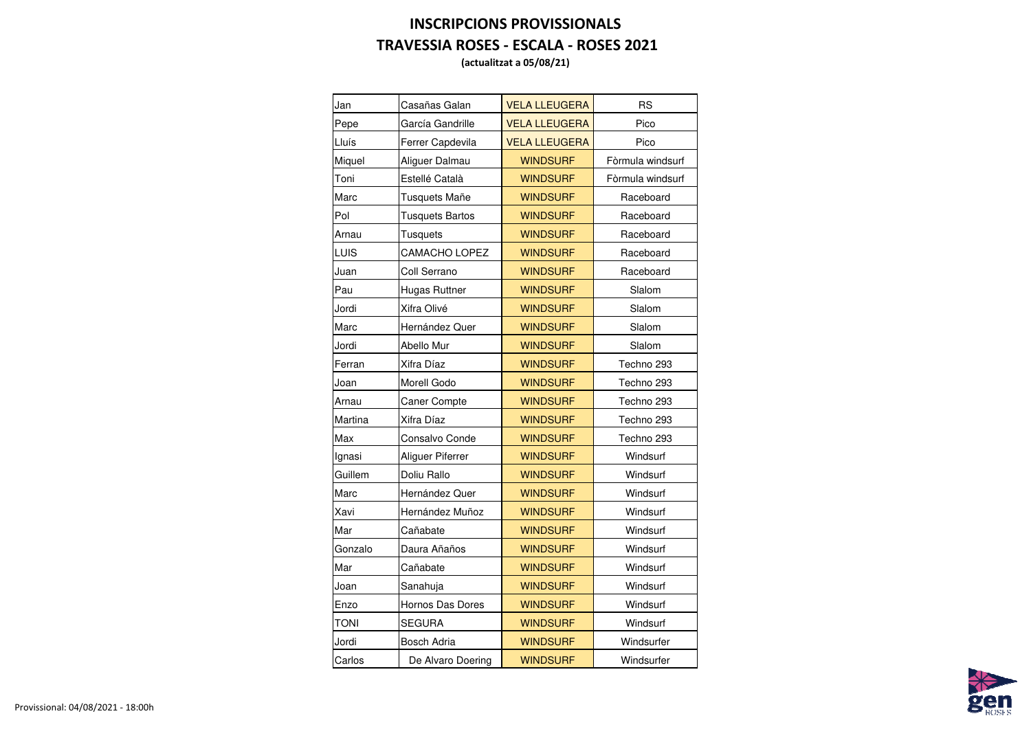## **INSCRIPCIONS PROVISSIONALS TRAVESSIA ROSES - ESCALA - ROSES 2021**

**(actualitzat a 05/08/21)**

| Jan            | Casañas Galan           | <b>VELA LLEUGERA</b> | <b>RS</b>        |
|----------------|-------------------------|----------------------|------------------|
| Pepe           | García Gandrille        | <b>VELA LLEUGERA</b> | Pico             |
| Lluís          | Ferrer Capdevila        | <b>VELA LLEUGERA</b> | Pico             |
| <b>Miquel</b>  | Aliguer Dalmau          | <b>WINDSURF</b>      | Fòrmula windsurf |
| Toni           | Estellé Català          | <b>WINDSURF</b>      | Fòrmula windsurf |
| Marc           | <b>Tusquets Mañe</b>    | <b>WINDSURF</b>      | Raceboard        |
| Pol            | <b>Tusquets Bartos</b>  | <b>WINDSURF</b>      | Raceboard        |
| Arnau          | <b>Tusquets</b>         | <b>WINDSURF</b>      | Raceboard        |
| <b>LUIS</b>    | <b>CAMACHO LOPEZ</b>    | <b>WINDSURF</b>      | Raceboard        |
| Juan           | <b>Coll Serrano</b>     | <b>WINDSURF</b>      | Raceboard        |
| Pau            | <b>Hugas Ruttner</b>    | <b>WINDSURF</b>      | Slalom           |
| Jordi          | Xifra Olivé             | <b>WINDSURF</b>      | Slalom           |
| Marc           | Hernández Quer          | <b>WINDSURF</b>      | Slalom           |
| Jordi          | <b>Abello Mur</b>       | <b>WINDSURF</b>      | Slalom           |
| Ferran         | Xifra Díaz              | <b>WINDSURF</b>      | Techno 293       |
| Joan           | <b>Morell Godo</b>      | <b>WINDSURF</b>      | Techno 293       |
| Arnau          | <b>Caner Compte</b>     | <b>WINDSURF</b>      | Techno 293       |
| <b>Martina</b> | Xifra Díaz              | <b>WINDSURF</b>      | Techno 293       |
| <b>Max</b>     | <b>Consalvo Conde</b>   | <b>WINDSURF</b>      | Techno 293       |
| Ignasi         | <b>Aliguer Piferrer</b> | <b>WINDSURF</b>      | Windsurf         |
| Guillem        | Doliu Rallo             | <b>WINDSURF</b>      | Windsurf         |
| Marc           | Hernández Quer          | <b>WINDSURF</b>      | Windsurf         |
| Xavi           | Hernández Muñoz         | <b>WINDSURF</b>      | Windsurf         |
| Mar            | Cañabate                | <b>WINDSURF</b>      | Windsurf         |
| Gonzalo        | Daura Añaños            | <b>WINDSURF</b>      | Windsurf         |
| Mar            | Cañabate                | <b>WINDSURF</b>      | Windsurf         |
| Joan           | Sanahuja                | <b>WINDSURF</b>      | Windsurf         |
| Enzo           | <b>Hornos Das Dores</b> | <b>WINDSURF</b>      | Windsurf         |
| <b>TONI</b>    | <b>SEGURA</b>           | <b>WINDSURF</b>      | Windsurf         |
| Jordi          | <b>Bosch Adria</b>      | <b>WINDSURF</b>      | Windsurfer       |
| Carlos         | De Alvaro Doering       | <b>WINDSURF</b>      | Windsurfer       |
|                |                         |                      |                  |